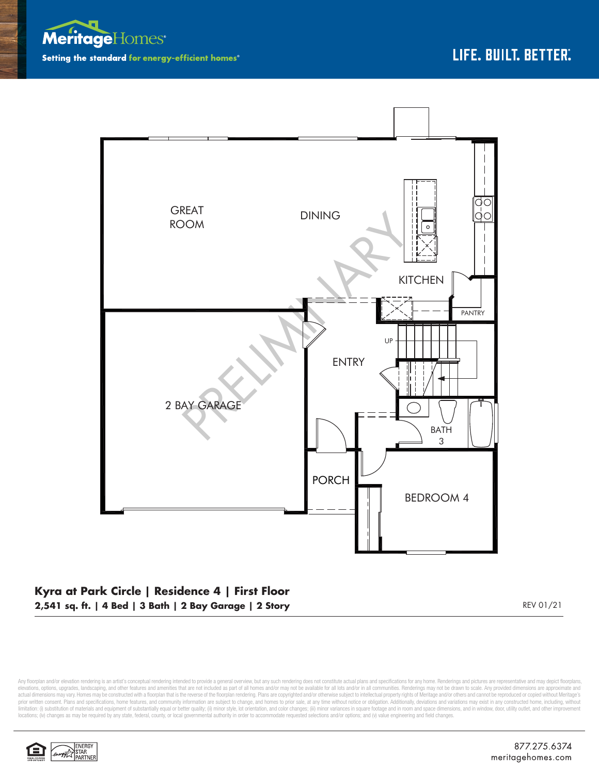



## **Kyra at Park Circle | Residence 4 | First Floor 2,541 sq. ft. | 4 Bed | 3 Bath | 2 Bay Garage | 2 Story** REV 01/21

Any floorplan and/or elevation rendering is an artist's conceptual rendering intended to provide a general overview, but any such rendering does not constitute actual plans and specifications for any home. Renderings and p elevations, options, upgrades, landscaping, and other features and amenities that are not included as part of all homes and/or may not be available for all lots and/or in all communities. Renderings may not be drawn to sca limitation: (i) substitution of materials and equipment of substantially equal or better quality; (ii) minor style, lot orientation, and color changes; (iii) minor variances in square footage and in room and space dimensio locations; (iv) changes as may be required by any state, federal, county, or local governmental authority in order to accommodate requested selections and/or options; and (v) value engineering and field changes.